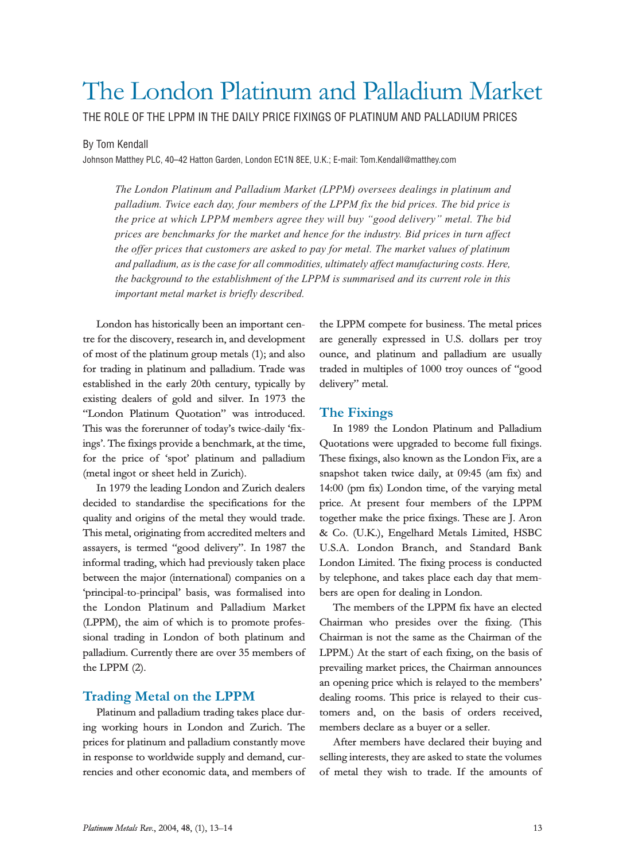# The London Platinum and Palladium Market

THE ROLE OF THE LPPM IN THE DAILY PRICE FIXINGS OF PLATINUM AND PALLADIUM PRICES

#### By Tom Kendall

Johnson Matthey PLC, 40–42 Hatton Garden, London EC1N 8EE, U.K.; E-mail: Tom.Kendall@matthey.com

The London Platinum and Palladium Market (LPPM) oversees dealings in platinum and palladium. Twice each day, four members of the LPPM fix the bid prices. The bid price is the price at which LPPM members agree they will buy "good delivery" metal. The bid prices are benchmarks for the market and hence for the industry. Bid prices in turn affect the offer prices that customers are asked to pay for metal. The market values of platinum and palladium, as is the case for all commodities, ultimately affect manufacturing costs. Here, the background to the establishment of the LPPM is summarised and its current role in this important metal market is briefly described.

London has historically been an important centre for the discovery, research in, and development of most of the platinum group metals (1); and also for trading in platinum and palladium. Trade was established in the early 20th century, typically by existing dealers of gold and silver. In 1973 the "London Platinum Quotation" was introduced. This was the forerunner of today's twice-daily 'fixings. The fixings provide a benchmark, at the time, for the price of 'spot' platinum and palladium (metal ingot or sheet held in Zurich).

In 1979 the leading London and Zurich dealers decided to standardise the specifications for the quality and origins of the metal they would trade. This metal, originating from accredited melters and assayers, is termed "good delivery". In 1987 the informal trading, which had previously taken place between the major (international) companies on a 'principal-to-principal' basis, was formalised into the London Platinum and Palladium Market (LPPM), the aim of which is to promote professional trading in London of both platinum and palladium. Currently there are over 35 members of the LPPM (2).

## Trading Metal on the LPPM

Platinum and palladium trading takes place during working hours in London and Zurich. The prices for platinum and palladium constantly move in response to worldwide supply and demand, currencies and other economic data, and members of the LPPM compete for business. The metal prices are generally expressed in U.S. dollars per troy ounce, and platinum and palladium are usually traded in multiples of 1000 troy ounces of "good delivery" metal.

## The Fixings

In 1989 the London Platinum and Palladium Quotations were upgraded to become full fixings. These fixings, also known as the London Fix, are a snapshot taken twice daily, at 09:45 (am fix) and 14:00 (pm fix) London time, of the varying metal price. At present four members of the LPPM together make the price fixings. These are J. Aron & Co. (U.K.), Engelhard Metals Limited, HSBC U.S.A. London Branch, and Standard Bank London Limited. The fixing process is conducted by telephone, and takes place each day that members are open for dealing in London.

The members of the LPPM fix have an elected Chairman who presides over the fixing. (This Chairman is not the same as the Chairman of the LPPM.) At the start of each fixing, on the basis of prevailing market prices, the Chairman announces an opening price which is relayed to the members dealing rooms. This price is relayed to their customers and, on the basis of orders received, members declare as a buyer or a seller.

After members have declared their buying and selling interests, they are asked to state the volumes of metal they wish to trade. If the amounts of